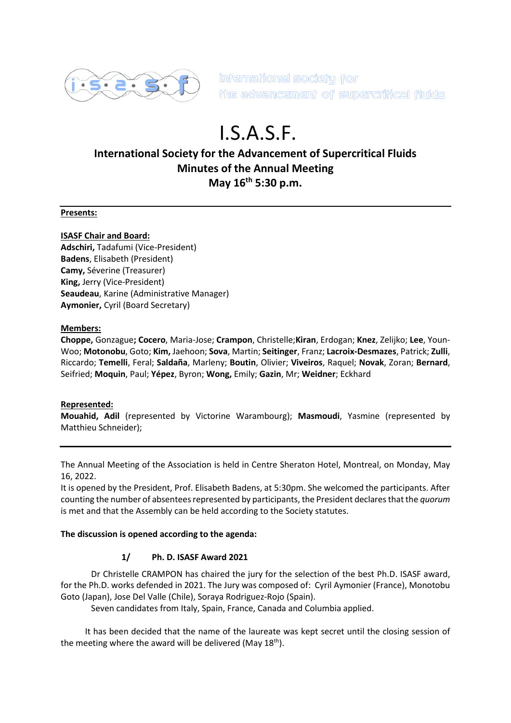

international society for the advancement of supercritical fluids

# I.S.A.S.F.

# **International Society for the Advancement of Supercritical Fluids Minutes of the Annual Meeting May 16th 5:30 p.m.**

#### **Presents:**

#### **ISASF Chair and Board:**

**Adschiri,** Tadafumi (Vice-President) **Badens**, Elisabeth (President) **Camy,** Séverine (Treasurer) **King,** Jerry (Vice-President) **Seaudeau**, Karine (Administrative Manager) **Aymonier,** Cyril (Board Secretary)

#### **Members:**

**Choppe,** Gonzague**; Cocero**, Maria-Jose; **Crampon**, Christelle;**Kiran**, Erdogan; **Knez**, Zelijko; **Lee**, Youn-Woo; **Motonobu**, Goto; **Kim,** Jaehoon; **Sova**, Martin; **Seitinger**, Franz; **Lacroix-Desmazes**, Patrick; **Zulli**, Riccardo; **Temelli**, Feral; **Saldaña**, Marleny; **Boutin**, Olivier; **Viveiros**, Raquel; **Novak**, Zoran; **Bernard**, Seifried; **Moquin**, Paul; **Yépez**, Byron; **Wong,** Emily; **Gazin**, Mr; **Weidner**; Eckhard

#### **Represented:**

**Mouahid, Adil** (represented by Victorine Warambourg); **Masmoudi**, Yasmine (represented by Matthieu Schneider);

The Annual Meeting of the Association is held in Centre Sheraton Hotel, Montreal, on Monday, May 16, 2022.

It is opened by the President, Prof. Elisabeth Badens, at 5:30pm. She welcomed the participants. After counting the number of absentees represented by participants, the President declares that the *quorum* is met and that the Assembly can be held according to the Society statutes.

#### **The discussion is opened according to the agenda:**

## **1/ Ph. D. ISASF Award 2021**

Dr Christelle CRAMPON has chaired the jury for the selection of the best Ph.D. ISASF award, for the Ph.D. works defended in 2021. The Jury was composed of: Cyril Aymonier (France), Monotobu Goto (Japan), Jose Del Valle (Chile), Soraya Rodriguez-Rojo (Spain).

Seven candidates from Italy, Spain, France, Canada and Columbia applied.

It has been decided that the name of the laureate was kept secret until the closing session of the meeting where the award will be delivered (May 18<sup>th</sup>).